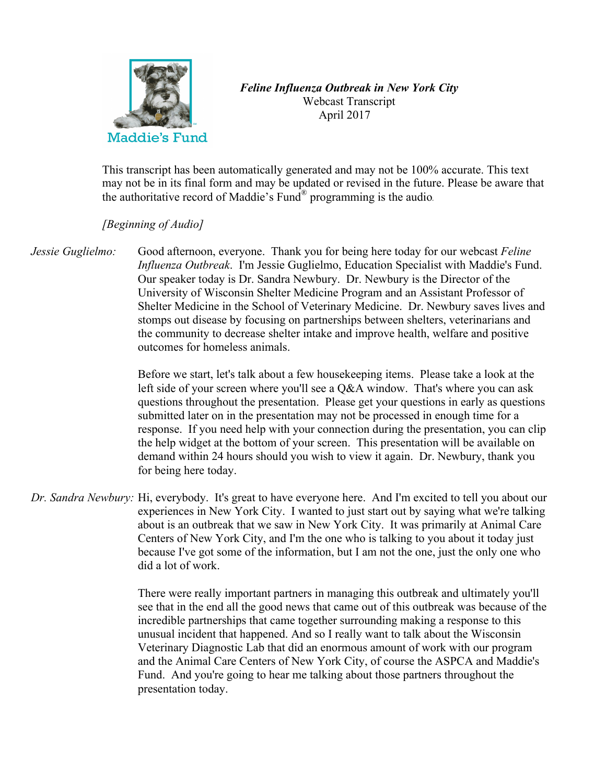

## *Feline Influenza Outbreak in New York City* Webcast Transcript April 2017

This transcript has been automatically generated and may not be 100% accurate. This text may not be in its final form and may be updated or revised in the future. Please be aware that the authoritative record of Maddie's Fund® programming is the audio*.*

## *[Beginning of Audio]*

*Jessie Guglielmo:* Good afternoon, everyone. Thank you for being here today for our webcast *Feline Influenza Outbreak*. I'm Jessie Guglielmo, Education Specialist with Maddie's Fund. Our speaker today is Dr. Sandra Newbury. Dr. Newbury is the Director of the University of Wisconsin Shelter Medicine Program and an Assistant Professor of Shelter Medicine in the School of Veterinary Medicine. Dr. Newbury saves lives and stomps out disease by focusing on partnerships between shelters, veterinarians and the community to decrease shelter intake and improve health, welfare and positive outcomes for homeless animals.

> Before we start, let's talk about a few housekeeping items. Please take a look at the left side of your screen where you'll see a Q&A window. That's where you can ask questions throughout the presentation. Please get your questions in early as questions submitted later on in the presentation may not be processed in enough time for a response. If you need help with your connection during the presentation, you can clip the help widget at the bottom of your screen. This presentation will be available on demand within 24 hours should you wish to view it again. Dr. Newbury, thank you for being here today.

*Dr. Sandra Newbury:* Hi, everybody. It's great to have everyone here. And I'm excited to tell you about our experiences in New York City. I wanted to just start out by saying what we're talking about is an outbreak that we saw in New York City. It was primarily at Animal Care Centers of New York City, and I'm the one who is talking to you about it today just because I've got some of the information, but I am not the one, just the only one who did a lot of work.

> There were really important partners in managing this outbreak and ultimately you'll see that in the end all the good news that came out of this outbreak was because of the incredible partnerships that came together surrounding making a response to this unusual incident that happened. And so I really want to talk about the Wisconsin Veterinary Diagnostic Lab that did an enormous amount of work with our program and the Animal Care Centers of New York City, of course the ASPCA and Maddie's Fund. And you're going to hear me talking about those partners throughout the presentation today.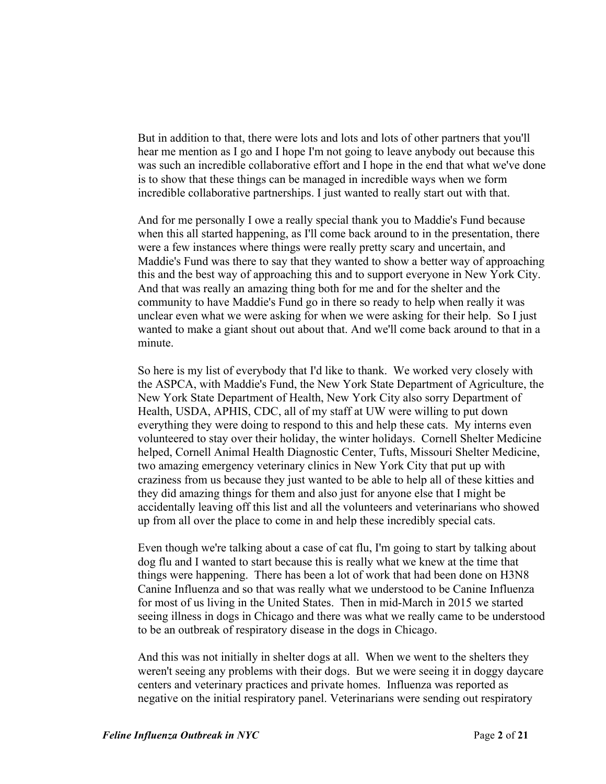But in addition to that, there were lots and lots and lots of other partners that you'll hear me mention as I go and I hope I'm not going to leave anybody out because this was such an incredible collaborative effort and I hope in the end that what we've done is to show that these things can be managed in incredible ways when we form incredible collaborative partnerships. I just wanted to really start out with that.

And for me personally I owe a really special thank you to Maddie's Fund because when this all started happening, as I'll come back around to in the presentation, there were a few instances where things were really pretty scary and uncertain, and Maddie's Fund was there to say that they wanted to show a better way of approaching this and the best way of approaching this and to support everyone in New York City. And that was really an amazing thing both for me and for the shelter and the community to have Maddie's Fund go in there so ready to help when really it was unclear even what we were asking for when we were asking for their help. So I just wanted to make a giant shout out about that. And we'll come back around to that in a minute.

So here is my list of everybody that I'd like to thank. We worked very closely with the ASPCA, with Maddie's Fund, the New York State Department of Agriculture, the New York State Department of Health, New York City also sorry Department of Health, USDA, APHIS, CDC, all of my staff at UW were willing to put down everything they were doing to respond to this and help these cats. My interns even volunteered to stay over their holiday, the winter holidays. Cornell Shelter Medicine helped, Cornell Animal Health Diagnostic Center, Tufts, Missouri Shelter Medicine, two amazing emergency veterinary clinics in New York City that put up with craziness from us because they just wanted to be able to help all of these kitties and they did amazing things for them and also just for anyone else that I might be accidentally leaving off this list and all the volunteers and veterinarians who showed up from all over the place to come in and help these incredibly special cats.

Even though we're talking about a case of cat flu, I'm going to start by talking about dog flu and I wanted to start because this is really what we knew at the time that things were happening. There has been a lot of work that had been done on H3N8 Canine Influenza and so that was really what we understood to be Canine Influenza for most of us living in the United States. Then in mid-March in 2015 we started seeing illness in dogs in Chicago and there was what we really came to be understood to be an outbreak of respiratory disease in the dogs in Chicago.

And this was not initially in shelter dogs at all. When we went to the shelters they weren't seeing any problems with their dogs. But we were seeing it in doggy daycare centers and veterinary practices and private homes. Influenza was reported as negative on the initial respiratory panel. Veterinarians were sending out respiratory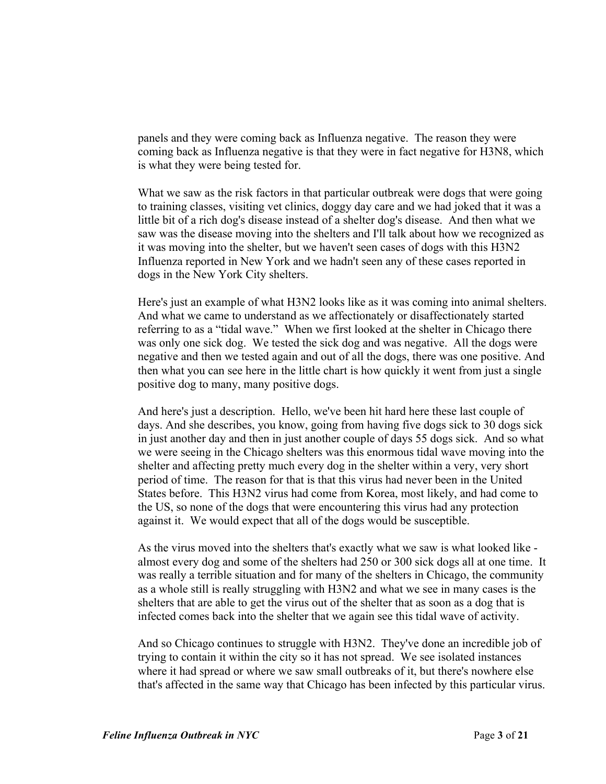panels and they were coming back as Influenza negative. The reason they were coming back as Influenza negative is that they were in fact negative for H3N8, which is what they were being tested for.

What we saw as the risk factors in that particular outbreak were dogs that were going to training classes, visiting vet clinics, doggy day care and we had joked that it was a little bit of a rich dog's disease instead of a shelter dog's disease. And then what we saw was the disease moving into the shelters and I'll talk about how we recognized as it was moving into the shelter, but we haven't seen cases of dogs with this H3N2 Influenza reported in New York and we hadn't seen any of these cases reported in dogs in the New York City shelters.

Here's just an example of what H3N2 looks like as it was coming into animal shelters. And what we came to understand as we affectionately or disaffectionately started referring to as a "tidal wave." When we first looked at the shelter in Chicago there was only one sick dog. We tested the sick dog and was negative. All the dogs were negative and then we tested again and out of all the dogs, there was one positive. And then what you can see here in the little chart is how quickly it went from just a single positive dog to many, many positive dogs.

And here's just a description. Hello, we've been hit hard here these last couple of days. And she describes, you know, going from having five dogs sick to 30 dogs sick in just another day and then in just another couple of days 55 dogs sick. And so what we were seeing in the Chicago shelters was this enormous tidal wave moving into the shelter and affecting pretty much every dog in the shelter within a very, very short period of time. The reason for that is that this virus had never been in the United States before. This H3N2 virus had come from Korea, most likely, and had come to the US, so none of the dogs that were encountering this virus had any protection against it. We would expect that all of the dogs would be susceptible.

As the virus moved into the shelters that's exactly what we saw is what looked like almost every dog and some of the shelters had 250 or 300 sick dogs all at one time. It was really a terrible situation and for many of the shelters in Chicago, the community as a whole still is really struggling with H3N2 and what we see in many cases is the shelters that are able to get the virus out of the shelter that as soon as a dog that is infected comes back into the shelter that we again see this tidal wave of activity.

And so Chicago continues to struggle with H3N2. They've done an incredible job of trying to contain it within the city so it has not spread. We see isolated instances where it had spread or where we saw small outbreaks of it, but there's nowhere else that's affected in the same way that Chicago has been infected by this particular virus.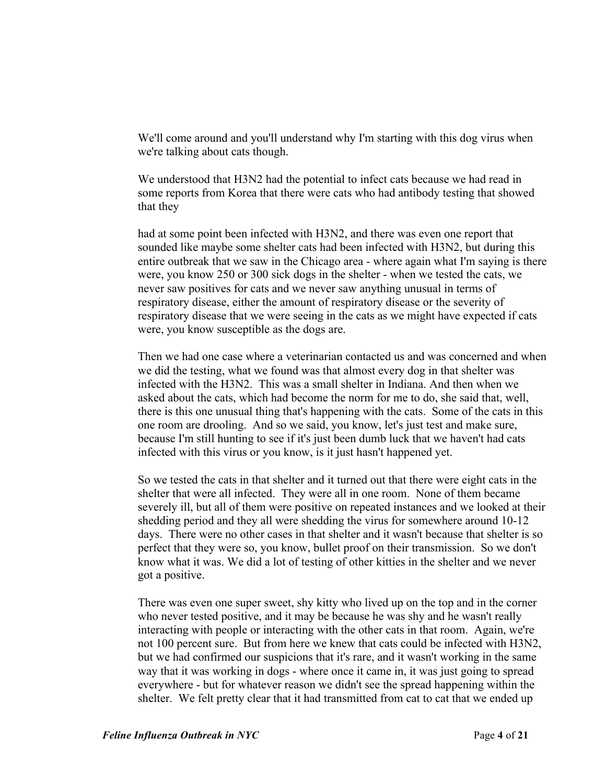We'll come around and you'll understand why I'm starting with this dog virus when we're talking about cats though.

We understood that H3N2 had the potential to infect cats because we had read in some reports from Korea that there were cats who had antibody testing that showed that they

had at some point been infected with H3N2, and there was even one report that sounded like maybe some shelter cats had been infected with H3N2, but during this entire outbreak that we saw in the Chicago area - where again what I'm saying is there were, you know 250 or 300 sick dogs in the shelter - when we tested the cats, we never saw positives for cats and we never saw anything unusual in terms of respiratory disease, either the amount of respiratory disease or the severity of respiratory disease that we were seeing in the cats as we might have expected if cats were, you know susceptible as the dogs are.

Then we had one case where a veterinarian contacted us and was concerned and when we did the testing, what we found was that almost every dog in that shelter was infected with the H3N2. This was a small shelter in Indiana. And then when we asked about the cats, which had become the norm for me to do, she said that, well, there is this one unusual thing that's happening with the cats. Some of the cats in this one room are drooling. And so we said, you know, let's just test and make sure, because I'm still hunting to see if it's just been dumb luck that we haven't had cats infected with this virus or you know, is it just hasn't happened yet.

So we tested the cats in that shelter and it turned out that there were eight cats in the shelter that were all infected. They were all in one room. None of them became severely ill, but all of them were positive on repeated instances and we looked at their shedding period and they all were shedding the virus for somewhere around 10-12 days. There were no other cases in that shelter and it wasn't because that shelter is so perfect that they were so, you know, bullet proof on their transmission. So we don't know what it was. We did a lot of testing of other kitties in the shelter and we never got a positive.

There was even one super sweet, shy kitty who lived up on the top and in the corner who never tested positive, and it may be because he was shy and he wasn't really interacting with people or interacting with the other cats in that room. Again, we're not 100 percent sure. But from here we knew that cats could be infected with H3N2, but we had confirmed our suspicions that it's rare, and it wasn't working in the same way that it was working in dogs - where once it came in, it was just going to spread everywhere - but for whatever reason we didn't see the spread happening within the shelter. We felt pretty clear that it had transmitted from cat to cat that we ended up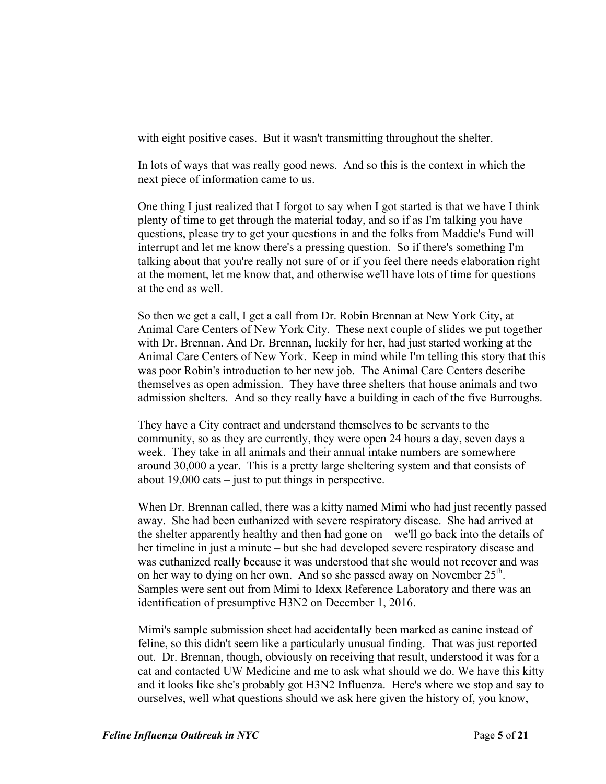with eight positive cases. But it wasn't transmitting throughout the shelter.

In lots of ways that was really good news. And so this is the context in which the next piece of information came to us.

One thing I just realized that I forgot to say when I got started is that we have I think plenty of time to get through the material today, and so if as I'm talking you have questions, please try to get your questions in and the folks from Maddie's Fund will interrupt and let me know there's a pressing question. So if there's something I'm talking about that you're really not sure of or if you feel there needs elaboration right at the moment, let me know that, and otherwise we'll have lots of time for questions at the end as well.

So then we get a call, I get a call from Dr. Robin Brennan at New York City, at Animal Care Centers of New York City. These next couple of slides we put together with Dr. Brennan. And Dr. Brennan, luckily for her, had just started working at the Animal Care Centers of New York. Keep in mind while I'm telling this story that this was poor Robin's introduction to her new job. The Animal Care Centers describe themselves as open admission. They have three shelters that house animals and two admission shelters. And so they really have a building in each of the five Burroughs.

They have a City contract and understand themselves to be servants to the community, so as they are currently, they were open 24 hours a day, seven days a week. They take in all animals and their annual intake numbers are somewhere around 30,000 a year. This is a pretty large sheltering system and that consists of about 19,000 cats – just to put things in perspective.

When Dr. Brennan called, there was a kitty named Mimi who had just recently passed away. She had been euthanized with severe respiratory disease. She had arrived at the shelter apparently healthy and then had gone on – we'll go back into the details of her timeline in just a minute – but she had developed severe respiratory disease and was euthanized really because it was understood that she would not recover and was on her way to dying on her own. And so she passed away on November  $25<sup>th</sup>$ . Samples were sent out from Mimi to Idexx Reference Laboratory and there was an identification of presumptive H3N2 on December 1, 2016.

Mimi's sample submission sheet had accidentally been marked as canine instead of feline, so this didn't seem like a particularly unusual finding. That was just reported out. Dr. Brennan, though, obviously on receiving that result, understood it was for a cat and contacted UW Medicine and me to ask what should we do. We have this kitty and it looks like she's probably got H3N2 Influenza. Here's where we stop and say to ourselves, well what questions should we ask here given the history of, you know,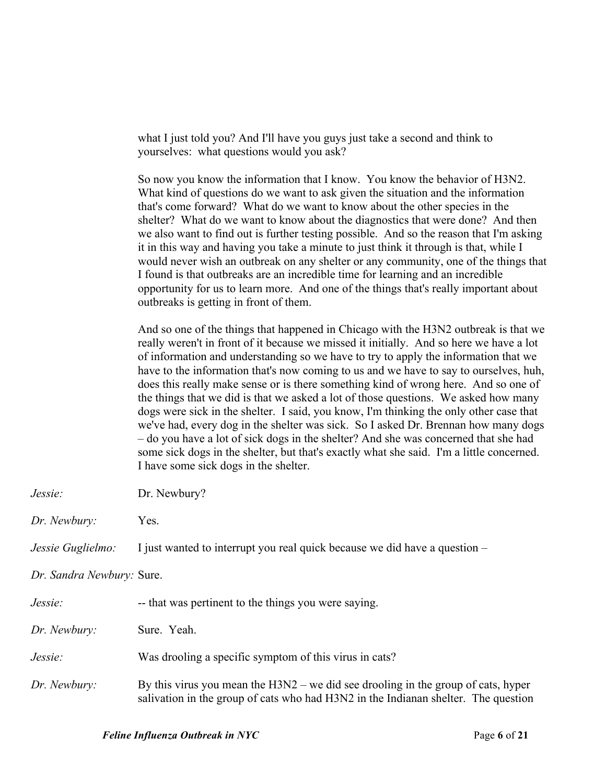what I just told you? And I'll have you guys just take a second and think to yourselves: what questions would you ask?

So now you know the information that I know. You know the behavior of H3N2. What kind of questions do we want to ask given the situation and the information that's come forward? What do we want to know about the other species in the shelter? What do we want to know about the diagnostics that were done? And then we also want to find out is further testing possible. And so the reason that I'm asking it in this way and having you take a minute to just think it through is that, while I would never wish an outbreak on any shelter or any community, one of the things that I found is that outbreaks are an incredible time for learning and an incredible opportunity for us to learn more. And one of the things that's really important about outbreaks is getting in front of them.

And so one of the things that happened in Chicago with the H3N2 outbreak is that we really weren't in front of it because we missed it initially. And so here we have a lot of information and understanding so we have to try to apply the information that we have to the information that's now coming to us and we have to say to ourselves, huh, does this really make sense or is there something kind of wrong here. And so one of the things that we did is that we asked a lot of those questions. We asked how many dogs were sick in the shelter. I said, you know, I'm thinking the only other case that we've had, every dog in the shelter was sick. So I asked Dr. Brennan how many dogs – do you have a lot of sick dogs in the shelter? And she was concerned that she had some sick dogs in the shelter, but that's exactly what she said. I'm a little concerned. I have some sick dogs in the shelter.

| Jessie:                   | Dr. Newbury?                                                                                                                                                              |
|---------------------------|---------------------------------------------------------------------------------------------------------------------------------------------------------------------------|
| Dr. Newbury:              | Yes.                                                                                                                                                                      |
| Jessie Guglielmo:         | I just wanted to interrupt you real quick because we did have a question –                                                                                                |
| Dr. Sandra Newbury: Sure. |                                                                                                                                                                           |
| Jessie:                   | -- that was pertinent to the things you were saying.                                                                                                                      |
| Dr. Newbury:              | Sure. Yeah.                                                                                                                                                               |
| Jessie:                   | Was drooling a specific symptom of this virus in cats?                                                                                                                    |
| Dr. Newbury:              | By this virus you mean the $H3N2$ – we did see drooling in the group of cats, hyper<br>salivation in the group of cats who had H3N2 in the Indianan shelter. The question |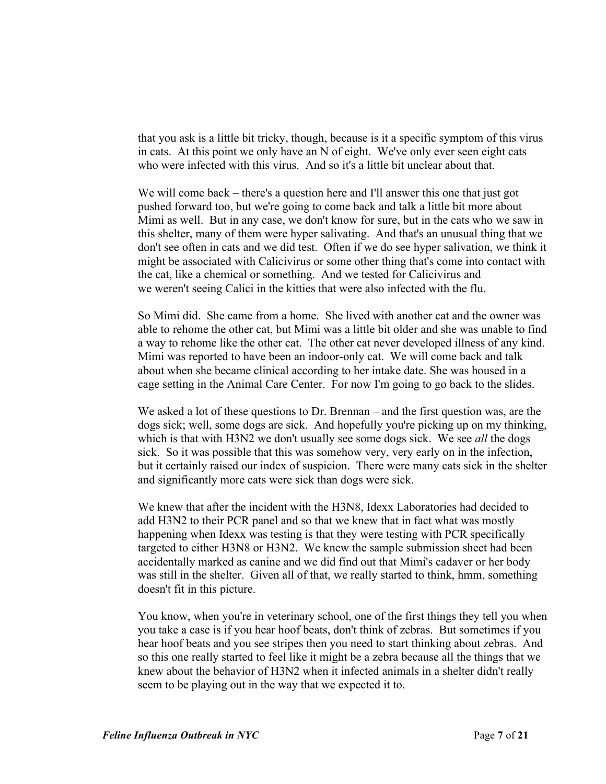that you ask is a little bit tricky, though, because is it a specific symptom of this virus in cats. At this point we only have an N of eight. We've only ever seen eight cats who were infected with this virus. And so it's a little bit unclear about that.

We will come back – there's a question here and I'll answer this one that just got pushed forward too, but we're going to come back and talk a little bit more about Mimi as well. But in any case, we don't know for sure, but in the cats who we saw in this shelter, many of them were hyper salivating. And that's an unusual thing that we don't see often in cats and we did test. Often if we do see hyper salivation, we think it might be associated with Calicivirus or some other thing that's come into contact with the cat, like a chemical or something. And we tested for Calicivirus and we weren't seeing Calici in the kitties that were also infected with the flu.

So Mimi did. She came from a home. She lived with another cat and the owner was able to rehome the other cat, but Mimi was a little bit older and she was unable to find a way to rehome like the other cat. The other cat never developed illness of any kind. Mimi was reported to have been an indoor-only cat. We will come back and talk about when she became clinical according to her intake date. She was housed in a cage setting in the Animal Care Center. For now I'm going to go back to the slides.

We asked a lot of these questions to Dr. Brennan – and the first question was, are the dogs sick; well, some dogs are sick. And hopefully you're picking up on my thinking, which is that with H3N2 we don't usually see some dogs sick. We see *all* the dogs sick. So it was possible that this was somehow very, very early on in the infection, but it certainly raised our index of suspicion. There were many cats sick in the shelter and significantly more cats were sick than dogs were sick.

We knew that after the incident with the H3N8, Idexx Laboratories had decided to add H3N2 to their PCR panel and so that we knew that in fact what was mostly happening when Idexx was testing is that they were testing with PCR specifically targeted to either H3N8 or H3N2. We knew the sample submission sheet had been accidentally marked as canine and we did find out that Mimi's cadaver or her body was still in the shelter. Given all of that, we really started to think, hmm, something doesn't fit in this picture.

You know, when you're in veterinary school, one of the first things they tell you when you take a case is if you hear hoof beats, don't think of zebras. But sometimes if you hear hoof beats and you see stripes then you need to start thinking about zebras. And so this one really started to feel like it might be a zebra because all the things that we knew about the behavior of H3N2 when it infected animals in a shelter didn't really seem to be playing out in the way that we expected it to.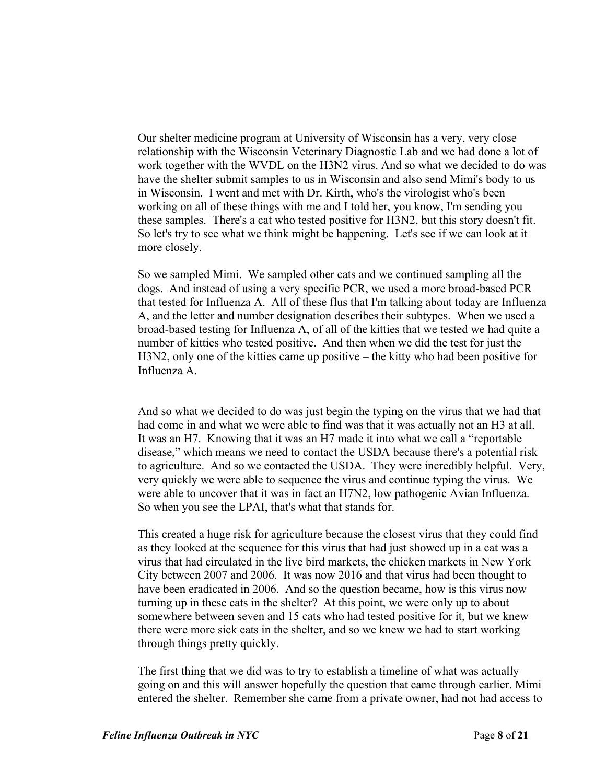Our shelter medicine program at University of Wisconsin has a very, very close relationship with the Wisconsin Veterinary Diagnostic Lab and we had done a lot of work together with the WVDL on the H3N2 virus. And so what we decided to do was have the shelter submit samples to us in Wisconsin and also send Mimi's body to us in Wisconsin. I went and met with Dr. Kirth, who's the virologist who's been working on all of these things with me and I told her, you know, I'm sending you these samples. There's a cat who tested positive for H3N2, but this story doesn't fit. So let's try to see what we think might be happening. Let's see if we can look at it more closely.

So we sampled Mimi. We sampled other cats and we continued sampling all the dogs. And instead of using a very specific PCR, we used a more broad-based PCR that tested for Influenza A. All of these flus that I'm talking about today are Influenza A, and the letter and number designation describes their subtypes. When we used a broad-based testing for Influenza A, of all of the kitties that we tested we had quite a number of kitties who tested positive. And then when we did the test for just the H3N2, only one of the kitties came up positive – the kitty who had been positive for Influenza A.

And so what we decided to do was just begin the typing on the virus that we had that had come in and what we were able to find was that it was actually not an H3 at all. It was an H7. Knowing that it was an H7 made it into what we call a "reportable disease," which means we need to contact the USDA because there's a potential risk to agriculture. And so we contacted the USDA. They were incredibly helpful. Very, very quickly we were able to sequence the virus and continue typing the virus. We were able to uncover that it was in fact an H7N2, low pathogenic Avian Influenza. So when you see the LPAI, that's what that stands for.

This created a huge risk for agriculture because the closest virus that they could find as they looked at the sequence for this virus that had just showed up in a cat was a virus that had circulated in the live bird markets, the chicken markets in New York City between 2007 and 2006. It was now 2016 and that virus had been thought to have been eradicated in 2006. And so the question became, how is this virus now turning up in these cats in the shelter? At this point, we were only up to about somewhere between seven and 15 cats who had tested positive for it, but we knew there were more sick cats in the shelter, and so we knew we had to start working through things pretty quickly.

The first thing that we did was to try to establish a timeline of what was actually going on and this will answer hopefully the question that came through earlier. Mimi entered the shelter. Remember she came from a private owner, had not had access to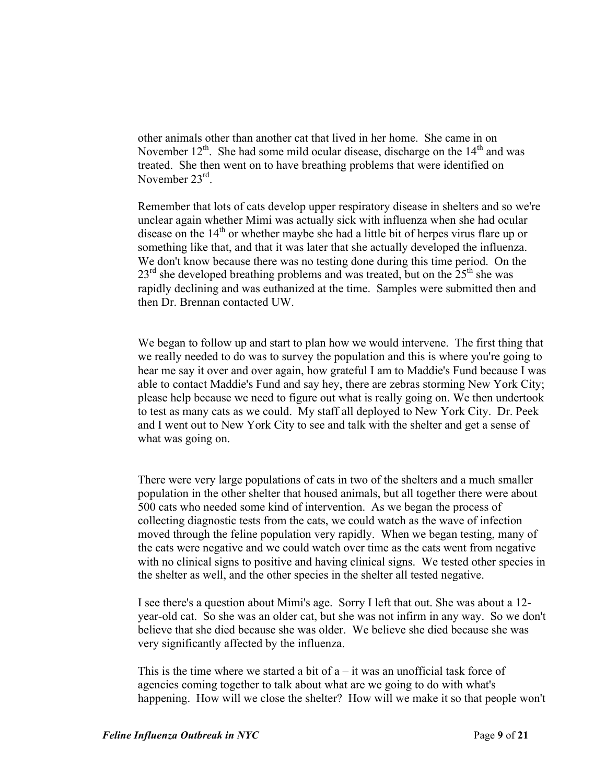other animals other than another cat that lived in her home. She came in on November  $12^{th}$ . She had some mild ocular disease, discharge on the  $14^{th}$  and was treated. She then went on to have breathing problems that were identified on November 23<sup>rd</sup>.

Remember that lots of cats develop upper respiratory disease in shelters and so we're unclear again whether Mimi was actually sick with influenza when she had ocular disease on the  $14<sup>th</sup>$  or whether maybe she had a little bit of herpes virus flare up or something like that, and that it was later that she actually developed the influenza. We don't know because there was no testing done during this time period. On the  $23<sup>rd</sup>$  she developed breathing problems and was treated, but on the  $25<sup>th</sup>$  she was rapidly declining and was euthanized at the time. Samples were submitted then and then Dr. Brennan contacted UW.

We began to follow up and start to plan how we would intervene. The first thing that we really needed to do was to survey the population and this is where you're going to hear me say it over and over again, how grateful I am to Maddie's Fund because I was able to contact Maddie's Fund and say hey, there are zebras storming New York City; please help because we need to figure out what is really going on. We then undertook to test as many cats as we could. My staff all deployed to New York City. Dr. Peek and I went out to New York City to see and talk with the shelter and get a sense of what was going on.

There were very large populations of cats in two of the shelters and a much smaller population in the other shelter that housed animals, but all together there were about 500 cats who needed some kind of intervention. As we began the process of collecting diagnostic tests from the cats, we could watch as the wave of infection moved through the feline population very rapidly. When we began testing, many of the cats were negative and we could watch over time as the cats went from negative with no clinical signs to positive and having clinical signs. We tested other species in the shelter as well, and the other species in the shelter all tested negative.

I see there's a question about Mimi's age. Sorry I left that out. She was about a 12 year-old cat. So she was an older cat, but she was not infirm in any way. So we don't believe that she died because she was older. We believe she died because she was very significantly affected by the influenza.

This is the time where we started a bit of  $a - it$  was an unofficial task force of agencies coming together to talk about what are we going to do with what's happening. How will we close the shelter? How will we make it so that people won't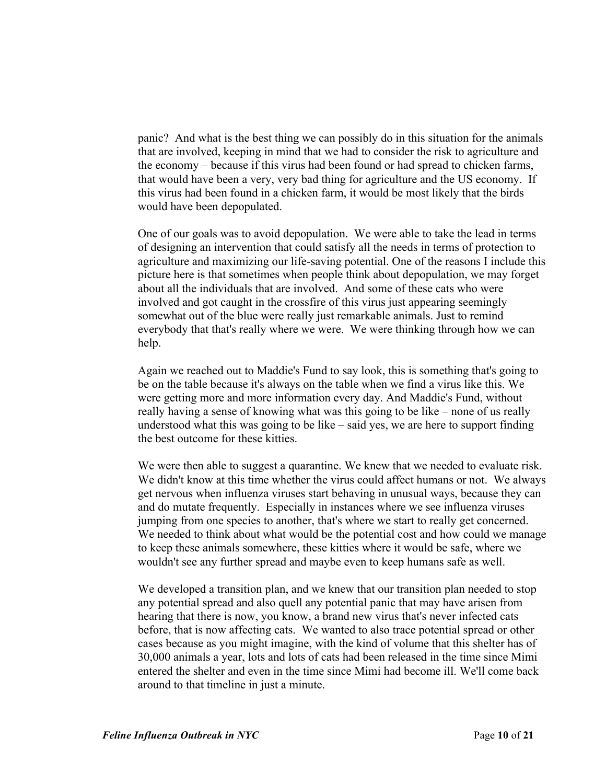panic? And what is the best thing we can possibly do in this situation for the animals that are involved, keeping in mind that we had to consider the risk to agriculture and the economy – because if this virus had been found or had spread to chicken farms, that would have been a very, very bad thing for agriculture and the US economy. If this virus had been found in a chicken farm, it would be most likely that the birds would have been depopulated.

One of our goals was to avoid depopulation. We were able to take the lead in terms of designing an intervention that could satisfy all the needs in terms of protection to agriculture and maximizing our life-saving potential. One of the reasons I include this picture here is that sometimes when people think about depopulation, we may forget about all the individuals that are involved. And some of these cats who were involved and got caught in the crossfire of this virus just appearing seemingly somewhat out of the blue were really just remarkable animals. Just to remind everybody that that's really where we were. We were thinking through how we can help.

Again we reached out to Maddie's Fund to say look, this is something that's going to be on the table because it's always on the table when we find a virus like this. We were getting more and more information every day. And Maddie's Fund, without really having a sense of knowing what was this going to be like – none of us really understood what this was going to be like – said yes, we are here to support finding the best outcome for these kitties.

We were then able to suggest a quarantine. We knew that we needed to evaluate risk. We didn't know at this time whether the virus could affect humans or not. We always get nervous when influenza viruses start behaving in unusual ways, because they can and do mutate frequently. Especially in instances where we see influenza viruses jumping from one species to another, that's where we start to really get concerned. We needed to think about what would be the potential cost and how could we manage to keep these animals somewhere, these kitties where it would be safe, where we wouldn't see any further spread and maybe even to keep humans safe as well.

We developed a transition plan, and we knew that our transition plan needed to stop any potential spread and also quell any potential panic that may have arisen from hearing that there is now, you know, a brand new virus that's never infected cats before, that is now affecting cats. We wanted to also trace potential spread or other cases because as you might imagine, with the kind of volume that this shelter has of 30,000 animals a year, lots and lots of cats had been released in the time since Mimi entered the shelter and even in the time since Mimi had become ill. We'll come back around to that timeline in just a minute.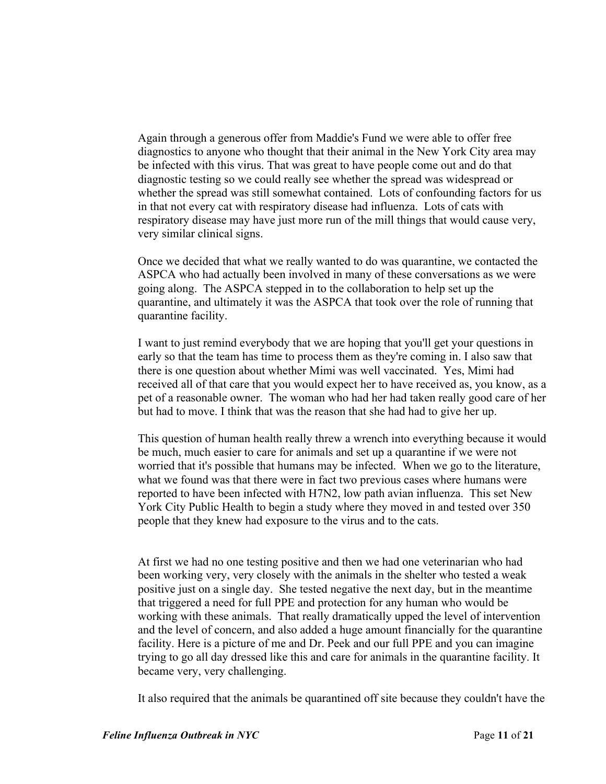Again through a generous offer from Maddie's Fund we were able to offer free diagnostics to anyone who thought that their animal in the New York City area may be infected with this virus. That was great to have people come out and do that diagnostic testing so we could really see whether the spread was widespread or whether the spread was still somewhat contained. Lots of confounding factors for us in that not every cat with respiratory disease had influenza. Lots of cats with respiratory disease may have just more run of the mill things that would cause very, very similar clinical signs.

Once we decided that what we really wanted to do was quarantine, we contacted the ASPCA who had actually been involved in many of these conversations as we were going along. The ASPCA stepped in to the collaboration to help set up the quarantine, and ultimately it was the ASPCA that took over the role of running that quarantine facility.

I want to just remind everybody that we are hoping that you'll get your questions in early so that the team has time to process them as they're coming in. I also saw that there is one question about whether Mimi was well vaccinated. Yes, Mimi had received all of that care that you would expect her to have received as, you know, as a pet of a reasonable owner. The woman who had her had taken really good care of her but had to move. I think that was the reason that she had had to give her up.

This question of human health really threw a wrench into everything because it would be much, much easier to care for animals and set up a quarantine if we were not worried that it's possible that humans may be infected. When we go to the literature, what we found was that there were in fact two previous cases where humans were reported to have been infected with H7N2, low path avian influenza. This set New York City Public Health to begin a study where they moved in and tested over 350 people that they knew had exposure to the virus and to the cats.

At first we had no one testing positive and then we had one veterinarian who had been working very, very closely with the animals in the shelter who tested a weak positive just on a single day. She tested negative the next day, but in the meantime that triggered a need for full PPE and protection for any human who would be working with these animals. That really dramatically upped the level of intervention and the level of concern, and also added a huge amount financially for the quarantine facility. Here is a picture of me and Dr. Peek and our full PPE and you can imagine trying to go all day dressed like this and care for animals in the quarantine facility. It became very, very challenging.

It also required that the animals be quarantined off site because they couldn't have the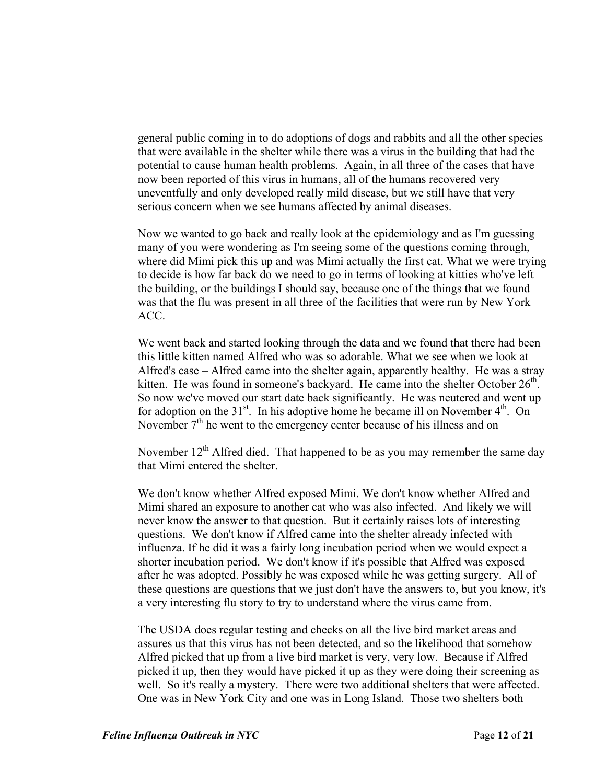general public coming in to do adoptions of dogs and rabbits and all the other species that were available in the shelter while there was a virus in the building that had the potential to cause human health problems. Again, in all three of the cases that have now been reported of this virus in humans, all of the humans recovered very uneventfully and only developed really mild disease, but we still have that very serious concern when we see humans affected by animal diseases.

Now we wanted to go back and really look at the epidemiology and as I'm guessing many of you were wondering as I'm seeing some of the questions coming through, where did Mimi pick this up and was Mimi actually the first cat. What we were trying to decide is how far back do we need to go in terms of looking at kitties who've left the building, or the buildings I should say, because one of the things that we found was that the flu was present in all three of the facilities that were run by New York ACC.

We went back and started looking through the data and we found that there had been this little kitten named Alfred who was so adorable. What we see when we look at Alfred's case – Alfred came into the shelter again, apparently healthy. He was a stray kitten. He was found in someone's backyard. He came into the shelter October  $26<sup>th</sup>$ . So now we've moved our start date back significantly. He was neutered and went up for adoption on the  $31<sup>st</sup>$ . In his adoptive home he became ill on November  $4<sup>th</sup>$ . On November  $7<sup>th</sup>$  he went to the emergency center because of his illness and on

November  $12<sup>th</sup>$  Alfred died. That happened to be as you may remember the same day that Mimi entered the shelter.

We don't know whether Alfred exposed Mimi. We don't know whether Alfred and Mimi shared an exposure to another cat who was also infected. And likely we will never know the answer to that question. But it certainly raises lots of interesting questions. We don't know if Alfred came into the shelter already infected with influenza. If he did it was a fairly long incubation period when we would expect a shorter incubation period. We don't know if it's possible that Alfred was exposed after he was adopted. Possibly he was exposed while he was getting surgery. All of these questions are questions that we just don't have the answers to, but you know, it's a very interesting flu story to try to understand where the virus came from.

The USDA does regular testing and checks on all the live bird market areas and assures us that this virus has not been detected, and so the likelihood that somehow Alfred picked that up from a live bird market is very, very low. Because if Alfred picked it up, then they would have picked it up as they were doing their screening as well. So it's really a mystery. There were two additional shelters that were affected. One was in New York City and one was in Long Island. Those two shelters both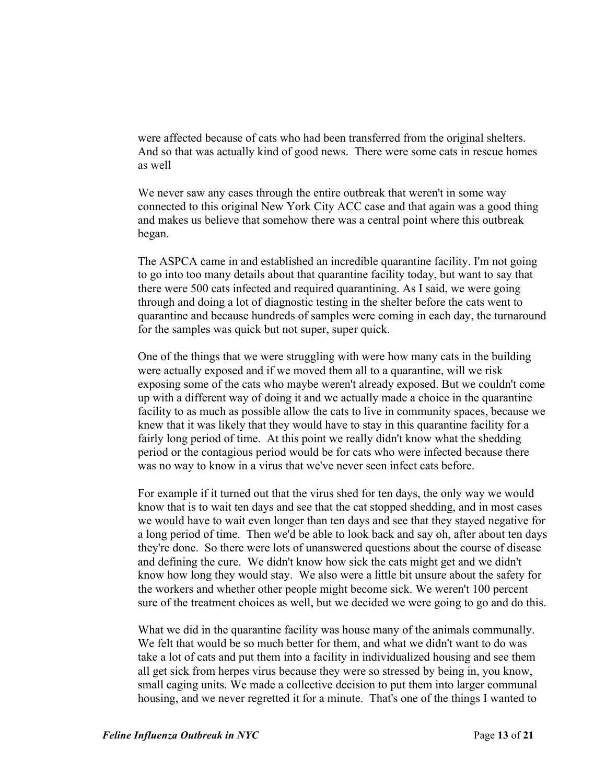were affected because of cats who had been transferred from the original shelters. And so that was actually kind of good news. There were some cats in rescue homes as well

We never saw any cases through the entire outbreak that weren't in some way connected to this original New York City ACC case and that again was a good thing and makes us believe that somehow there was a central point where this outbreak began.

The ASPCA came in and established an incredible quarantine facility. I'm not going to go into too many details about that quarantine facility today, but want to say that there were 500 cats infected and required quarantining. As I said, we were going through and doing a lot of diagnostic testing in the shelter before the cats went to quarantine and because hundreds of samples were coming in each day, the turnaround for the samples was quick but not super, super quick.

One of the things that we were struggling with were how many cats in the building were actually exposed and if we moved them all to a quarantine, will we risk exposing some of the cats who maybe weren't already exposed. But we couldn't come up with a different way of doing it and we actually made a choice in the quarantine facility to as much as possible allow the cats to live in community spaces, because we knew that it was likely that they would have to stay in this quarantine facility for a fairly long period of time. At this point we really didn't know what the shedding period or the contagious period would be for cats who were infected because there was no way to know in a virus that we've never seen infect cats before.

For example if it turned out that the virus shed for ten days, the only way we would know that is to wait ten days and see that the cat stopped shedding, and in most cases we would have to wait even longer than ten days and see that they stayed negative for a long period of time. Then we'd be able to look back and say oh, after about ten days they're done. So there were lots of unanswered questions about the course of disease and defining the cure. We didn't know how sick the cats might get and we didn't know how long they would stay. We also were a little bit unsure about the safety for the workers and whether other people might become sick. We weren't 100 percent sure of the treatment choices as well, but we decided we were going to go and do this.

What we did in the quarantine facility was house many of the animals communally. We felt that would be so much better for them, and what we didn't want to do was take a lot of cats and put them into a facility in individualized housing and see them all get sick from herpes virus because they were so stressed by being in, you know, small caging units. We made a collective decision to put them into larger communal housing, and we never regretted it for a minute. That's one of the things I wanted to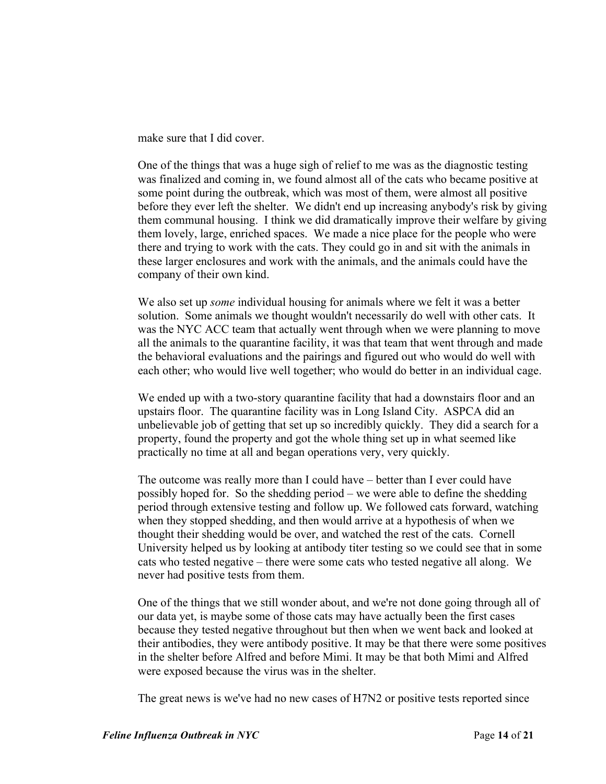make sure that I did cover.

One of the things that was a huge sigh of relief to me was as the diagnostic testing was finalized and coming in, we found almost all of the cats who became positive at some point during the outbreak, which was most of them, were almost all positive before they ever left the shelter. We didn't end up increasing anybody's risk by giving them communal housing. I think we did dramatically improve their welfare by giving them lovely, large, enriched spaces. We made a nice place for the people who were there and trying to work with the cats. They could go in and sit with the animals in these larger enclosures and work with the animals, and the animals could have the company of their own kind.

We also set up *some* individual housing for animals where we felt it was a better solution. Some animals we thought wouldn't necessarily do well with other cats. It was the NYC ACC team that actually went through when we were planning to move all the animals to the quarantine facility, it was that team that went through and made the behavioral evaluations and the pairings and figured out who would do well with each other; who would live well together; who would do better in an individual cage.

We ended up with a two-story quarantine facility that had a downstairs floor and an upstairs floor. The quarantine facility was in Long Island City. ASPCA did an unbelievable job of getting that set up so incredibly quickly. They did a search for a property, found the property and got the whole thing set up in what seemed like practically no time at all and began operations very, very quickly.

The outcome was really more than I could have – better than I ever could have possibly hoped for. So the shedding period – we were able to define the shedding period through extensive testing and follow up. We followed cats forward, watching when they stopped shedding, and then would arrive at a hypothesis of when we thought their shedding would be over, and watched the rest of the cats. Cornell University helped us by looking at antibody titer testing so we could see that in some cats who tested negative – there were some cats who tested negative all along. We never had positive tests from them.

One of the things that we still wonder about, and we're not done going through all of our data yet, is maybe some of those cats may have actually been the first cases because they tested negative throughout but then when we went back and looked at their antibodies, they were antibody positive. It may be that there were some positives in the shelter before Alfred and before Mimi. It may be that both Mimi and Alfred were exposed because the virus was in the shelter.

The great news is we've had no new cases of H7N2 or positive tests reported since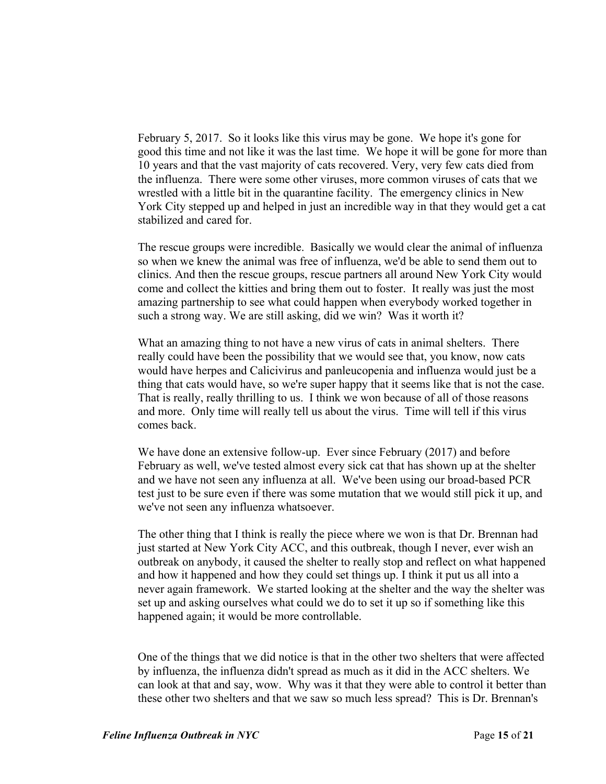February 5, 2017. So it looks like this virus may be gone. We hope it's gone for good this time and not like it was the last time. We hope it will be gone for more than 10 years and that the vast majority of cats recovered. Very, very few cats died from the influenza. There were some other viruses, more common viruses of cats that we wrestled with a little bit in the quarantine facility. The emergency clinics in New York City stepped up and helped in just an incredible way in that they would get a cat stabilized and cared for.

The rescue groups were incredible. Basically we would clear the animal of influenza so when we knew the animal was free of influenza, we'd be able to send them out to clinics. And then the rescue groups, rescue partners all around New York City would come and collect the kitties and bring them out to foster. It really was just the most amazing partnership to see what could happen when everybody worked together in such a strong way. We are still asking, did we win? Was it worth it?

What an amazing thing to not have a new virus of cats in animal shelters. There really could have been the possibility that we would see that, you know, now cats would have herpes and Calicivirus and panleucopenia and influenza would just be a thing that cats would have, so we're super happy that it seems like that is not the case. That is really, really thrilling to us. I think we won because of all of those reasons and more. Only time will really tell us about the virus. Time will tell if this virus comes back.

We have done an extensive follow-up. Ever since February (2017) and before February as well, we've tested almost every sick cat that has shown up at the shelter and we have not seen any influenza at all. We've been using our broad-based PCR test just to be sure even if there was some mutation that we would still pick it up, and we've not seen any influenza whatsoever.

The other thing that I think is really the piece where we won is that Dr. Brennan had just started at New York City ACC, and this outbreak, though I never, ever wish an outbreak on anybody, it caused the shelter to really stop and reflect on what happened and how it happened and how they could set things up. I think it put us all into a never again framework. We started looking at the shelter and the way the shelter was set up and asking ourselves what could we do to set it up so if something like this happened again; it would be more controllable.

One of the things that we did notice is that in the other two shelters that were affected by influenza, the influenza didn't spread as much as it did in the ACC shelters. We can look at that and say, wow. Why was it that they were able to control it better than these other two shelters and that we saw so much less spread? This is Dr. Brennan's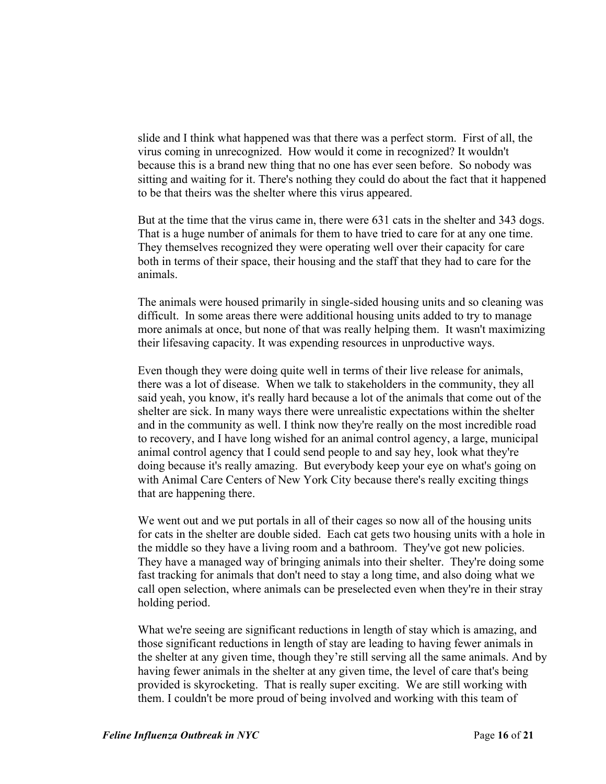slide and I think what happened was that there was a perfect storm. First of all, the virus coming in unrecognized. How would it come in recognized? It wouldn't because this is a brand new thing that no one has ever seen before. So nobody was sitting and waiting for it. There's nothing they could do about the fact that it happened to be that theirs was the shelter where this virus appeared.

But at the time that the virus came in, there were 631 cats in the shelter and 343 dogs. That is a huge number of animals for them to have tried to care for at any one time. They themselves recognized they were operating well over their capacity for care both in terms of their space, their housing and the staff that they had to care for the animals.

The animals were housed primarily in single-sided housing units and so cleaning was difficult. In some areas there were additional housing units added to try to manage more animals at once, but none of that was really helping them. It wasn't maximizing their lifesaving capacity. It was expending resources in unproductive ways.

Even though they were doing quite well in terms of their live release for animals, there was a lot of disease. When we talk to stakeholders in the community, they all said yeah, you know, it's really hard because a lot of the animals that come out of the shelter are sick. In many ways there were unrealistic expectations within the shelter and in the community as well. I think now they're really on the most incredible road to recovery, and I have long wished for an animal control agency, a large, municipal animal control agency that I could send people to and say hey, look what they're doing because it's really amazing. But everybody keep your eye on what's going on with Animal Care Centers of New York City because there's really exciting things that are happening there.

We went out and we put portals in all of their cages so now all of the housing units for cats in the shelter are double sided. Each cat gets two housing units with a hole in the middle so they have a living room and a bathroom. They've got new policies. They have a managed way of bringing animals into their shelter. They're doing some fast tracking for animals that don't need to stay a long time, and also doing what we call open selection, where animals can be preselected even when they're in their stray holding period.

What we're seeing are significant reductions in length of stay which is amazing, and those significant reductions in length of stay are leading to having fewer animals in the shelter at any given time, though they're still serving all the same animals. And by having fewer animals in the shelter at any given time, the level of care that's being provided is skyrocketing. That is really super exciting. We are still working with them. I couldn't be more proud of being involved and working with this team of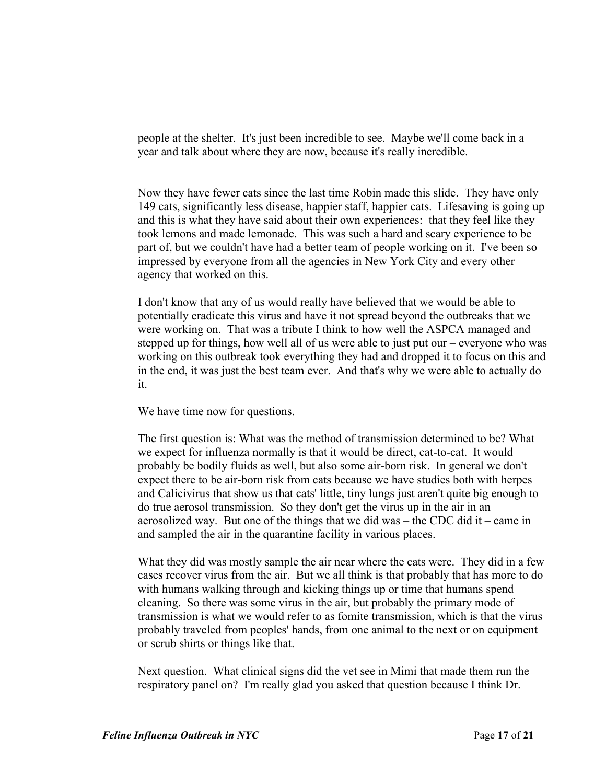people at the shelter. It's just been incredible to see. Maybe we'll come back in a year and talk about where they are now, because it's really incredible.

Now they have fewer cats since the last time Robin made this slide. They have only 149 cats, significantly less disease, happier staff, happier cats. Lifesaving is going up and this is what they have said about their own experiences: that they feel like they took lemons and made lemonade. This was such a hard and scary experience to be part of, but we couldn't have had a better team of people working on it. I've been so impressed by everyone from all the agencies in New York City and every other agency that worked on this.

I don't know that any of us would really have believed that we would be able to potentially eradicate this virus and have it not spread beyond the outbreaks that we were working on. That was a tribute I think to how well the ASPCA managed and stepped up for things, how well all of us were able to just put our – everyone who was working on this outbreak took everything they had and dropped it to focus on this and in the end, it was just the best team ever. And that's why we were able to actually do it.

We have time now for questions.

The first question is: What was the method of transmission determined to be? What we expect for influenza normally is that it would be direct, cat-to-cat. It would probably be bodily fluids as well, but also some air-born risk. In general we don't expect there to be air-born risk from cats because we have studies both with herpes and Calicivirus that show us that cats' little, tiny lungs just aren't quite big enough to do true aerosol transmission. So they don't get the virus up in the air in an aerosolized way. But one of the things that we did was – the CDC did it – came in and sampled the air in the quarantine facility in various places.

What they did was mostly sample the air near where the cats were. They did in a few cases recover virus from the air. But we all think is that probably that has more to do with humans walking through and kicking things up or time that humans spend cleaning. So there was some virus in the air, but probably the primary mode of transmission is what we would refer to as fomite transmission, which is that the virus probably traveled from peoples' hands, from one animal to the next or on equipment or scrub shirts or things like that.

Next question. What clinical signs did the vet see in Mimi that made them run the respiratory panel on? I'm really glad you asked that question because I think Dr.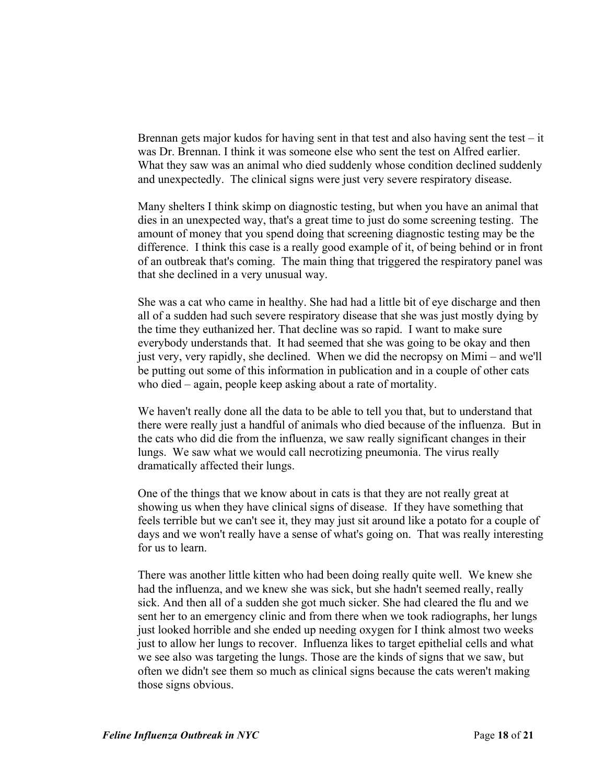Brennan gets major kudos for having sent in that test and also having sent the test  $-$  it was Dr. Brennan. I think it was someone else who sent the test on Alfred earlier. What they saw was an animal who died suddenly whose condition declined suddenly and unexpectedly. The clinical signs were just very severe respiratory disease.

Many shelters I think skimp on diagnostic testing, but when you have an animal that dies in an unexpected way, that's a great time to just do some screening testing. The amount of money that you spend doing that screening diagnostic testing may be the difference. I think this case is a really good example of it, of being behind or in front of an outbreak that's coming. The main thing that triggered the respiratory panel was that she declined in a very unusual way.

She was a cat who came in healthy. She had had a little bit of eye discharge and then all of a sudden had such severe respiratory disease that she was just mostly dying by the time they euthanized her. That decline was so rapid. I want to make sure everybody understands that. It had seemed that she was going to be okay and then just very, very rapidly, she declined. When we did the necropsy on Mimi – and we'll be putting out some of this information in publication and in a couple of other cats who died – again, people keep asking about a rate of mortality.

We haven't really done all the data to be able to tell you that, but to understand that there were really just a handful of animals who died because of the influenza. But in the cats who did die from the influenza, we saw really significant changes in their lungs. We saw what we would call necrotizing pneumonia. The virus really dramatically affected their lungs.

One of the things that we know about in cats is that they are not really great at showing us when they have clinical signs of disease. If they have something that feels terrible but we can't see it, they may just sit around like a potato for a couple of days and we won't really have a sense of what's going on. That was really interesting for us to learn.

There was another little kitten who had been doing really quite well. We knew she had the influenza, and we knew she was sick, but she hadn't seemed really, really sick. And then all of a sudden she got much sicker. She had cleared the flu and we sent her to an emergency clinic and from there when we took radiographs, her lungs just looked horrible and she ended up needing oxygen for I think almost two weeks just to allow her lungs to recover. Influenza likes to target epithelial cells and what we see also was targeting the lungs. Those are the kinds of signs that we saw, but often we didn't see them so much as clinical signs because the cats weren't making those signs obvious.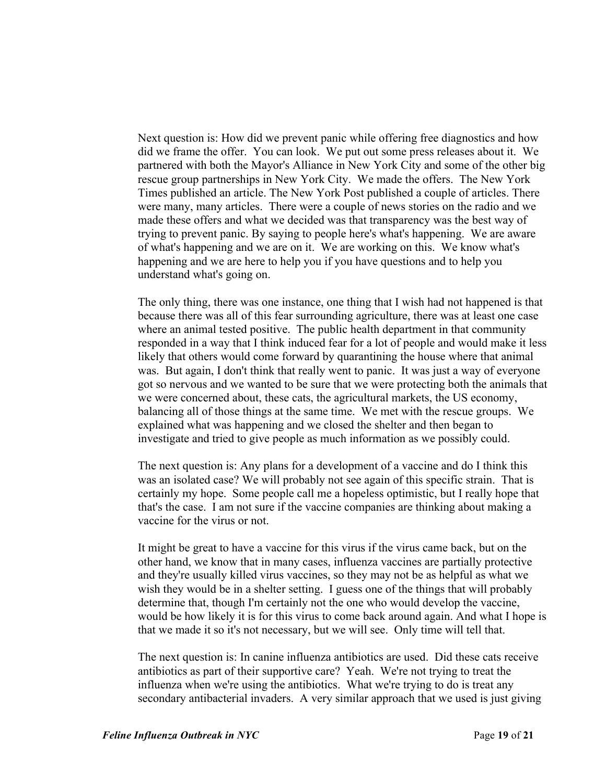Next question is: How did we prevent panic while offering free diagnostics and how did we frame the offer. You can look. We put out some press releases about it. We partnered with both the Mayor's Alliance in New York City and some of the other big rescue group partnerships in New York City. We made the offers. The New York Times published an article. The New York Post published a couple of articles. There were many, many articles. There were a couple of news stories on the radio and we made these offers and what we decided was that transparency was the best way of trying to prevent panic. By saying to people here's what's happening. We are aware of what's happening and we are on it. We are working on this. We know what's happening and we are here to help you if you have questions and to help you understand what's going on.

The only thing, there was one instance, one thing that I wish had not happened is that because there was all of this fear surrounding agriculture, there was at least one case where an animal tested positive. The public health department in that community responded in a way that I think induced fear for a lot of people and would make it less likely that others would come forward by quarantining the house where that animal was. But again, I don't think that really went to panic. It was just a way of everyone got so nervous and we wanted to be sure that we were protecting both the animals that we were concerned about, these cats, the agricultural markets, the US economy, balancing all of those things at the same time. We met with the rescue groups. We explained what was happening and we closed the shelter and then began to investigate and tried to give people as much information as we possibly could.

The next question is: Any plans for a development of a vaccine and do I think this was an isolated case? We will probably not see again of this specific strain. That is certainly my hope. Some people call me a hopeless optimistic, but I really hope that that's the case. I am not sure if the vaccine companies are thinking about making a vaccine for the virus or not.

It might be great to have a vaccine for this virus if the virus came back, but on the other hand, we know that in many cases, influenza vaccines are partially protective and they're usually killed virus vaccines, so they may not be as helpful as what we wish they would be in a shelter setting. I guess one of the things that will probably determine that, though I'm certainly not the one who would develop the vaccine, would be how likely it is for this virus to come back around again. And what I hope is that we made it so it's not necessary, but we will see. Only time will tell that.

The next question is: In canine influenza antibiotics are used. Did these cats receive antibiotics as part of their supportive care? Yeah. We're not trying to treat the influenza when we're using the antibiotics. What we're trying to do is treat any secondary antibacterial invaders. A very similar approach that we used is just giving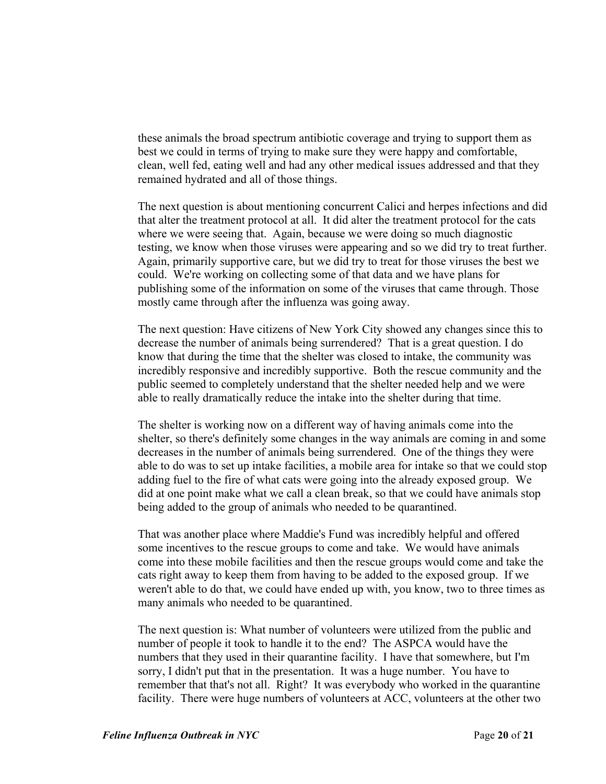these animals the broad spectrum antibiotic coverage and trying to support them as best we could in terms of trying to make sure they were happy and comfortable, clean, well fed, eating well and had any other medical issues addressed and that they remained hydrated and all of those things.

The next question is about mentioning concurrent Calici and herpes infections and did that alter the treatment protocol at all. It did alter the treatment protocol for the cats where we were seeing that. Again, because we were doing so much diagnostic testing, we know when those viruses were appearing and so we did try to treat further. Again, primarily supportive care, but we did try to treat for those viruses the best we could. We're working on collecting some of that data and we have plans for publishing some of the information on some of the viruses that came through. Those mostly came through after the influenza was going away.

The next question: Have citizens of New York City showed any changes since this to decrease the number of animals being surrendered? That is a great question. I do know that during the time that the shelter was closed to intake, the community was incredibly responsive and incredibly supportive. Both the rescue community and the public seemed to completely understand that the shelter needed help and we were able to really dramatically reduce the intake into the shelter during that time.

The shelter is working now on a different way of having animals come into the shelter, so there's definitely some changes in the way animals are coming in and some decreases in the number of animals being surrendered. One of the things they were able to do was to set up intake facilities, a mobile area for intake so that we could stop adding fuel to the fire of what cats were going into the already exposed group. We did at one point make what we call a clean break, so that we could have animals stop being added to the group of animals who needed to be quarantined.

That was another place where Maddie's Fund was incredibly helpful and offered some incentives to the rescue groups to come and take. We would have animals come into these mobile facilities and then the rescue groups would come and take the cats right away to keep them from having to be added to the exposed group. If we weren't able to do that, we could have ended up with, you know, two to three times as many animals who needed to be quarantined.

The next question is: What number of volunteers were utilized from the public and number of people it took to handle it to the end? The ASPCA would have the numbers that they used in their quarantine facility. I have that somewhere, but I'm sorry, I didn't put that in the presentation. It was a huge number. You have to remember that that's not all. Right? It was everybody who worked in the quarantine facility. There were huge numbers of volunteers at ACC, volunteers at the other two